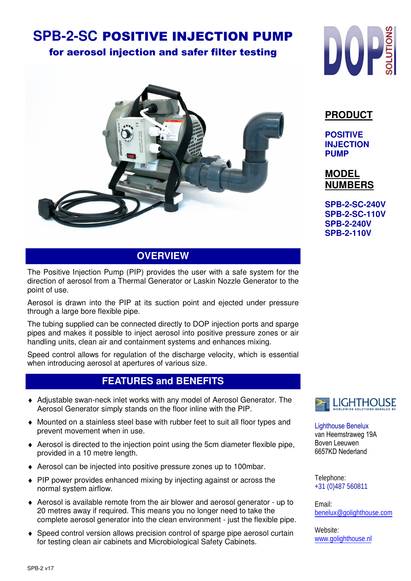# **SPB-2-SC** POSITIVE INJECTION PUMP

## for aerosol injection and safer filter testing



## **OVERVIEW**

The Positive Injection Pump (PIP) provides the user with a safe system for the direction of aerosol from a Thermal Generator or Laskin Nozzle Generator to the point of use.

Aerosol is drawn into the PIP at its suction point and ejected under pressure through a large bore flexible pipe.

The tubing supplied can be connected directly to DOP injection ports and sparge pipes and makes it possible to inject aerosol into positive pressure zones or air handling units, clean air and containment systems and enhances mixing.

Speed control allows for regulation of the discharge velocity, which is essential when introducing aerosol at apertures of various size.

## **FEATURES and BENEFITS**

- ♦ Adjustable swan-neck inlet works with any model of Aerosol Generator. The Aerosol Generator simply stands on the floor inline with the PIP.
- ♦ Mounted on a stainless steel base with rubber feet to suit all floor types and prevent movement when in use.
- ♦ Aerosol is directed to the injection point using the 5cm diameter flexible pipe, provided in a 10 metre length.
- ♦ Aerosol can be injected into positive pressure zones up to 100mbar.
- ♦ PIP power provides enhanced mixing by injecting against or across the normal system airflow.
- ♦ Aerosol is available remote from the air blower and aerosol generator up to 20 metres away if required. This means you no longer need to take the complete aerosol generator into the clean environment - just the flexible pipe.
- ♦ Speed control version allows precision control of sparge pipe aerosol curtain for testing clean air cabinets and Microbiological Safety Cabinets.



## **PRODUCT**

**POSITIVE INJECTION PUMP**

**MODEL NUMBERS**

**SPB-2-SC-240V SPB-2-SC-110V SPB-2-240V SPB-2-110V** 



Lighthouse Benelux van Heemstraweg 19A Boven Leeuwen 6657KD Nederland

Telephone: +31 (0)487 560811

Email: benelux@golighthouse.com

Website: www.golighthouse.nl